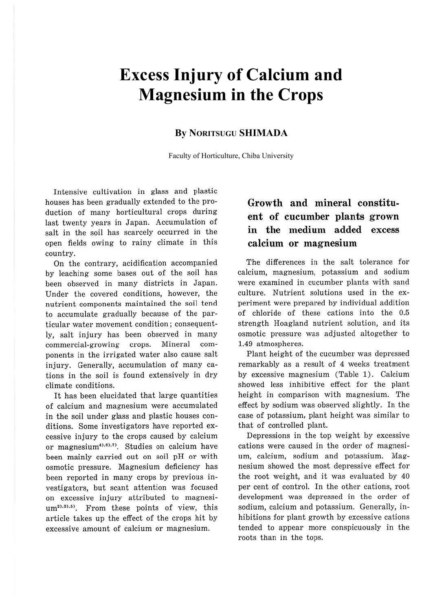# **Excess Injury of Calcium and Magnesium in the Crops**

#### **By NORITSUGU SHIMADA**

Faculty of Horticulture, Chiba University

Intensive cultivation in glass and plastic houses has been gradually extended to the production of many horticultural crops during last twenty years in Japan. Accumulation of salt in the soil has scarcely occurred in the open fields owing to rainy climate in this country.

On the contrary, acidification accompanied by leaching some bases out of the soil has been observed in many districts in Japan. Under the covered conditions, however, the nutrient components maintained the soil tend to accumulate gradually because of the particular water movement condition; consequently, salt injury has been observed in many commercial-growing crops. Mineral components in the irrigated water also cause salt injury. Generally, accumulation of many cations in the soil is found extensively in dry climate conditions.

It has been elucidated that large quantities of calcium and magnesium were accumulated in the soil under glass and plastic houses conditions. Some investigators have reported excessive injury to the crops caused by calcium or magnesium<sup>4),6),7</sup>). Studies on calcium have been mainly carried out on soil pH or with osmotic pressure. Magnesium deficiency has been reported in many crops by previous investigators, but scant attention was focused on excessive injury attributed to magnesium<sup>2),3),5)</sup>. From these points of view, this article takes up the effect of the crops hit by excessive amount of calcium or magnesium.

#### **Growth and mineral constituent of cucumber plants grown in the medium added excess calcium or magnesium**

The differences in the salt tolerance for calcium, magnesium, potassium and sodium were examined in cucumber plants with sand culture. Nutrient solutions used in the experiment were prepared by individual addition of chloride of these cations into the 0.5 strength Hoagland nutrient solution, and its osmotic pressure was adjusted altogether to 1.49 atmospheres.

Plant height of the cucumber was depressed remarkably as a result of 4 weeks treatment by excessive magnesium (Table 1). Calcium showed less inhibitive effect for the plant height in comparison with magnesium. The effect by sodium was observed slightly. In the case of potassium, plant height was similar to that of controlled plant.

Depressions in the top weight by excessive cations were caused in the order of magnesium, calcium, sodium and potassium. Magnesium showed the most depressive effect for the root weight, and it was evaluated by 40 per cent of control. In the other cations, root development was depressed in the order of sodium, calcium and potassium. Generally, inhibitions for plant growth by excessive cations tended to appear more conspicuously in the roots than in the tops.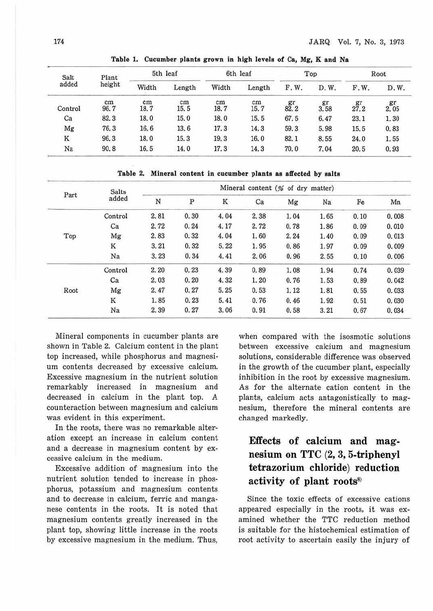| Salt<br>added | Plant<br>height | 5th leaf   |            | 6th leaf   |            | Top                   |            | Root |            |
|---------------|-----------------|------------|------------|------------|------------|-----------------------|------------|------|------------|
|               |                 | Width      | Length     | Width      | Length     | F.W.                  | D.W.       | F.W. | D.W.       |
| Control       | cm<br>96.7      | cm<br>18.7 | cm<br>15.5 | cm<br>18.7 | cm<br>15.7 | $g_{2.2}^{\text{gr}}$ | gr<br>3.58 | 27.2 | gr<br>2.05 |
| Ca            | 82.3            | 18.0       | 15.0       | 18.0       | 15.5       | 67.5                  | 6.47       | 23.1 | 1.30       |
| Mg            | 76.3            | 16.6       | 13.6       | 17.3       | 14.3       | 59.3                  | 5.98       | 15.5 | 0.83       |
| Κ             | 96.3            | 18.0       | 15.3       | 19.3       | 16.0       | 82.1                  | 8.55       | 24.0 | 1.55       |
| Na            | 90.8            | 16.5       | 14.0       | 17.3       | 14.3       | 70.0                  | 7.04       | 20.5 | 0.93       |

**Table 1. Cucumber plants grown in high levels of Ca, Mg, K and Na** 

**Table 2. Mineral content in cucumber plants as affected by salts** 

| Part | <b>Salts</b><br>added |      | Mineral content (% of dry matter) |      |      |      |      |      |       |  |  |
|------|-----------------------|------|-----------------------------------|------|------|------|------|------|-------|--|--|
|      |                       | N    | P                                 | K    | Ca   | Mg   | Na   | Fe   | Mn    |  |  |
| Top  | Control               | 2.81 | 0.30                              | 4.04 | 2.38 | 1.04 | 1.65 | 0.10 | 0.008 |  |  |
|      | Ca                    | 2.72 | 0.24                              | 4.17 | 2.72 | 0.78 | 1.86 | 0.09 | 0.010 |  |  |
|      | Mg                    | 2.83 | 0.32                              | 4.04 | 1.60 | 2.24 | 1.40 | 0.09 | 0.013 |  |  |
|      | K                     | 3.21 | 0.32                              | 5.22 | 1.95 | 0.86 | 1.97 | 0.09 | 0.009 |  |  |
|      | Na                    | 3.23 | 0.34                              | 4.41 | 2.06 | 0.96 | 2.55 | 0.10 | 0.006 |  |  |
| Root | Control               | 2.20 | 0.23                              | 4.39 | 0.89 | 1.08 | 1.94 | 0.74 | 0.039 |  |  |
|      | Ca                    | 2.03 | 0.20                              | 4.32 | 1.20 | 0.76 | 1.53 | 0.89 | 0.042 |  |  |
|      | Mg                    | 2.47 | 0.27                              | 5.25 | 0.53 | 1.12 | 1.81 | 0.55 | 0.033 |  |  |
|      | $_{\rm K}$            | 1.85 | 0.23                              | 5.41 | 0.76 | 0.46 | 1.92 | 0.51 | 0.030 |  |  |
|      | Na                    | 2.39 | 0.27                              | 3.06 | 0.91 | 0.58 | 3.21 | 0.67 | 0.034 |  |  |

Mineral components in cucumber plants are shown in Table 2. Calcium content *in* the plant top increased, while phosphorus and magnesium contents decreased by excessive calcium. Excessive magnesium in the nutrient solution remarkably increased in magnesium and decreased in calcium in the plant top. A counteraction between magnesium and calcium was evident in this experiment.

In the roots, there was no remarkable alteration except an increase in calcium content and a decrease in magnesium content by excessive calcium in the medium.

Excessive addition of magnesium into the nutrient solution tended to increase in phosphorus, potassium and magnesium contents and to decrease in calcium, ferric and manganese contents in the roots. It is noted that magnesium contents greatly increased in the plant top, showing little increase in the roots by excessive magnesium in the medium. Thus,

when compared with the isosmotic solutions between excessive calcium and magnesium solutions, considerable difference was observed in the growth of the cucumber plant, especially inhibition in the root by excessive magnesium. As for the alternate cation content in the plants, calcium acts antagonistically to magnesium, therefore the mineral contents are changed markedly.

## Effects of calcium and magnesium on TTC (2, 3, 5-triphenyl tetrazorium chloride) reduction activity of plant roots<sup>8)</sup>

Since the toxic effects of excessive cations appeared especially in the roots, it was examined whether the TTC reduction method is suitable for the histochemical estimation of root activity to ascertain easily the injury of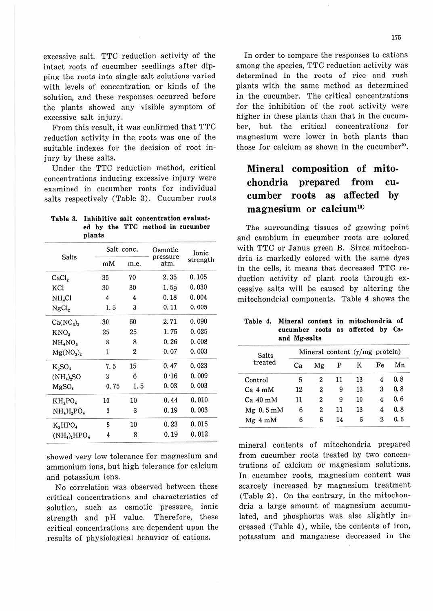175

excessive salt. TTC reduction activity of the intact roots of cucumber seedlings after dipping the roots into single salt solutions varied with levels of concentration or kinds of the solution, and these responses occurred before the plants showed any visible symptom of excessive salt injury.

From this result, it was confirmed that TTC reduction activity in the roots was one of the suitable indexes for the decision of root injury by these salts.

Under the TTC reduction method, critical concentrations inducing excessive injury were examined in cucumber roots for individual salts respectively (Table 3). Cucumber roots

| Table 3. |  |  |        |  |  | Inhibitive salt concentration evaluat- |  |  |                                  |  |
|----------|--|--|--------|--|--|----------------------------------------|--|--|----------------------------------|--|
|          |  |  |        |  |  |                                        |  |  | ed by the TTC method in cucumber |  |
|          |  |  | plants |  |  |                                        |  |  |                                  |  |

|                                        | Salt conc.     |                | Osmotic          | Ionic    |  |
|----------------------------------------|----------------|----------------|------------------|----------|--|
| <b>Salts</b>                           | mM             | m.e.           | pressure<br>atm. | strength |  |
| CaCl <sub>2</sub>                      | 35             | 70             | 2.35             | 0.105    |  |
| KCI                                    | 30             | 30             | 1.59             | 0.030    |  |
| NH,Cl                                  | $\overline{4}$ | 4              | 0.18             | 0.004    |  |
| NgCl <sub>2</sub>                      | 1.5            | 3              | 0.11             | 0.005    |  |
| Ca(NO <sub>3</sub> ) <sub>2</sub>      | 30             | 60             | 2.71             | 0.090    |  |
| $KNO_3$                                | 25             | 25             | 1.75             | 0.025    |  |
| NH <sub>4</sub> NO <sub>3</sub>        | 8              | 8              | 0.26             | 0.008    |  |
| $Mg(NO_3)_2$                           | 1              | $\overline{2}$ | 0.07             | 0.003    |  |
| $K_{2}SO_{4}$                          | 7.5            | 15             | 0.47             | 0.023    |  |
| $(NH_4)$ <sub>2</sub> SO               | 3              | 6              | 0.16             | 0.009    |  |
| MgSO <sub>4</sub>                      | 0.75           | 1.5            | 0.03             | 0.003    |  |
| KH,PO,                                 | 10             | 10             | 0.44             | 0.010    |  |
| $NH4H2PO4$                             | 3              | 3              | 0.19             | 0.003    |  |
| $K_2HPO_4$                             | 5              | 10             | 0.23             | 0.015    |  |
| $(NH_4)$ <sub>2</sub> HPO <sub>4</sub> | 4              | 8              | 0.19             | 0.012    |  |

showed very low tolerance for magnesium and ammonium ions, but high tolerance for calcium and potassium ions.

No correlation was observed between these critical concentrations and characteristics of solution, such as osmotic pressure, ionic strength and pH value. Therefore, these critical concentrations are dependent upon the results of physiological behavior of cations.

In order to compare the responses to cations among the species, TTC reduction activity was determined in the roots of rice and rush plants with the same method as determined in the cucumber. The critical concentrations for the inhibition of the root activity were higher in these plants than that in the cucumber, but the critical concentrations for magnesium were lower in both plants than those for calcium as shown in the cucumber<sup>9</sup>.

### **Mineral composition of mitochondria prepared from cucumber roots as affected by magnesium or calcium10)**

The surrounding tissues of growing point and cambium in cucumber roots are colored with TTC or Janus green B. Since mitochondria is markedly colored with the same dyes in the cells, it means that decreased TTC reduction activity of plant roots through excessive salts will be caused by altering the mitochondrial components. Table 4 shows the

**Table 4. Mineral content in mitochondria of**  cucumber roots as affected by Ca**and Mg-salts** 

| <b>Salts</b> |    | Mineral content $(\gamma/mg)$ protein) |    |            |                  |     |
|--------------|----|----------------------------------------|----|------------|------------------|-----|
| treated      | Ca | Mg                                     | P  | $_{\rm K}$ | Fe               | Mn  |
| Control      | 5  | 2                                      | 11 | 13         | 4                | 0.8 |
| $Ca_4$ mM    | 12 | 2                                      | 9  | 13         | 3                | 0.8 |
| $Ca$ 40 mM   | 11 | 2                                      | 9  | 10         | 4                | 0.6 |
| $Mg$ 0.5 mM  | 6  | $\overline{2}$                         | 11 | 13         | 4                | 0.8 |
| Mg 4mM       | 6  | 5                                      | 14 | 5          | $\boldsymbol{2}$ | 0.5 |

mineral contents of mitochondria prepared from cucumber roots treated by two concentrations of calcium or magnesium solutions. In cucumber roots, magnesium content was scarcely increased by magnesium treatment (Table 2). On the contrary, in the mitochondria a large amount of magnesium accumulated, and phosphorus was also slightly increased (Table 4), while, the contents of iron, potassium and manganese decreased in the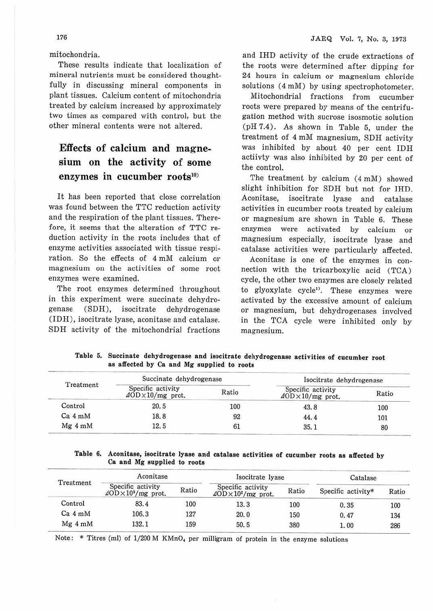mitochondria.

These results indicate that localization of mineral nutrients must be considered thoughtfully in discussing mineral components in plant tissues. Calcium content of mitochondria treated by calcium increased by approximately two times as compared with control, but the other mineral contents were not altered.

## **Effects** of **calcium and magnesium on the activity** of **some**  enzymes in cucumber roots<sup>10)</sup>

It has been reported that close correlation was found between the TTC reduction activity and the respiration of the plant tissues. Therefore, it seems that the alteration of TTC reduction activity in the roots includes that of enzyme activities associated with tissue respiration. So the effects of 4 mM calcium or magnesium on the activities of some root enzymes were examined.

The root enzymes determined throughout in this experiment were succinate dehydrogenase (SDH), isocitrate dehydrogenase (IDH), isocitrate lyase, aconitase and catalase. SDH activity of the mitochondrial fractions and IHD activity of the crude extractions of the roots were determined after dipping for 24 hours in calcium or magnesium chloride solutions  $(4 \text{ mM})$  by using spectrophotometer.

Mitochondrial fractions from cucumber roots were prepared by means of the centrifugation method with sucrose isosmotic solution (pH 7.4). As shown in Table 5, under the treatment of 4 mM magnesium, SDH activity was inhibited by about 40 per cent IDH actiivty was also inhibited by 20 per cent of the control.

The treatment by calcium (4 mM) showed slight inhibition for SDH but not for IHD. Aconitase, isocitrate lyase and catalase activities in cucumber roots treated by calcium or magnesium are shown in Table 6. These enzymes were activated by calcium or magnesium especially, isocitrate lyase and catalase activities were particularly affected.

Aconitase is one of the enzymes in connection with the tricarboxylic acid (TCA) cycle, the other two enzymes are closely related to glyoxylate cycle'i. These enzymes were activated by the excessive amount of calcium or magnesium, but dehydrogenases involved in the TCA cycle were inhibited only by magnesium.

|           | Succinate dehydrogenase                                      |       | Isocitrate dehydrogenase                              |       |  |
|-----------|--------------------------------------------------------------|-------|-------------------------------------------------------|-------|--|
| Treatment | Specific activity<br>$\text{4OD} \times 10 \text{/mg}$ prot. | Ratio | Specific activity<br>$\Delta$ OD $\times$ 10/mg prot. | Ratio |  |
| Control   | 20.5                                                         | 100   | 43.8                                                  | 100   |  |
| $Ca_4$ mM | 18.8                                                         | 92    | 44.4                                                  | 101   |  |
| $Mg$ 4 mM | 12.5                                                         | 61    | 35.1                                                  | 80    |  |

**Table** 5. **Succinate dehydrogenase and isocitrate dehydrogenase activities of cucumber root**   $\mathbf{r}$  and  $\mathbf{r}$  and  $\mathbf{r}$  and  $\mathbf{r}$ 

**Table 6. Aconitase, isocitrate lyase and catalase activities of cucumber roots as affected by Ca and Mg supplied to roots** 

| Treatment | Aconitase                                                           |       | Isocitrate lyase                                                    | Catalase |                    |       |
|-----------|---------------------------------------------------------------------|-------|---------------------------------------------------------------------|----------|--------------------|-------|
|           | Specific activity<br>$\Delta$ OD $\times$ 10 <sup>3</sup> /mg prot. | Ratio | Specific activity<br>$\Delta$ OD $\times$ 10 <sup>2</sup> /mg prot. | Ratio    | Specific activity* | Ratio |
| Control   | 83.4                                                                | 100   | 13.3                                                                | 100      | 0.35               | 100   |
| $Ca_4$ mM | 106.3                                                               | 127   | 20.0                                                                | 150      | 0.47               | 134   |
| $Mg$ 4 mM | 132.1                                                               | 159   | 50.5                                                                | 380      | 1.00               | 286   |

Note: \* Titres (ml) of  $1/200$  M KMnO<sub>4</sub> per milligram of protein in the enzyme solutions